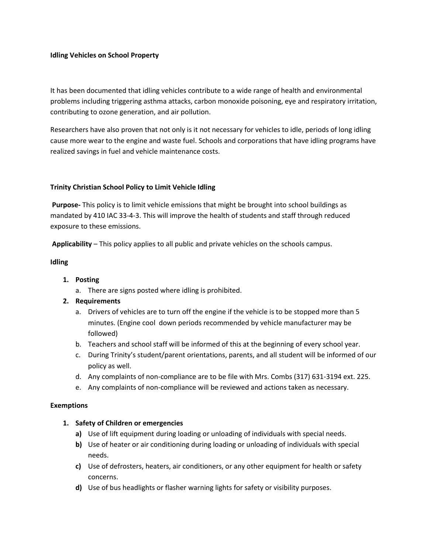### **Idling Vehicles on School Property**

It has been documented that idling vehicles contribute to a wide range of health and environmental problems including triggering asthma attacks, carbon monoxide poisoning, eye and respiratory irritation, contributing to ozone generation, and air pollution.

Researchers have also proven that not only is it not necessary for vehicles to idle, periods of long idling cause more wear to the engine and waste fuel. Schools and corporations that have idling programs have realized savings in fuel and vehicle maintenance costs.

### **Trinity Christian School Policy to Limit Vehicle Idling**

**Purpose-** This policy is to limit vehicle emissions that might be brought into school buildings as mandated by 410 IAC 33-4-3. This will improve the health of students and staff through reduced exposure to these emissions.

**Applicability** – This policy applies to all public and private vehicles on the schools campus.

### **Idling**

- **1. Posting**
	- a. There are signs posted where idling is prohibited.

# **2. Requirements**

- a. Drivers of vehicles are to turn off the engine if the vehicle is to be stopped more than 5 minutes. (Engine cool down periods recommended by vehicle manufacturer may be followed)
- b. Teachers and school staff will be informed of this at the beginning of every school year.
- c. During Trinity's student/parent orientations, parents, and all student will be informed of our policy as well.
- d. Any complaints of non-compliance are to be file with Mrs. Combs (317) 631-3194 ext. 225.
- e. Any complaints of non-compliance will be reviewed and actions taken as necessary.

### **Exemptions**

### **1. Safety of Children or emergencies**

- **a)** Use of lift equipment during loading or unloading of individuals with special needs.
- **b)** Use of heater or air conditioning during loading or unloading of individuals with special needs.
- **c)** Use of defrosters, heaters, air conditioners, or any other equipment for health or safety concerns.
- **d)** Use of bus headlights or flasher warning lights for safety or visibility purposes.